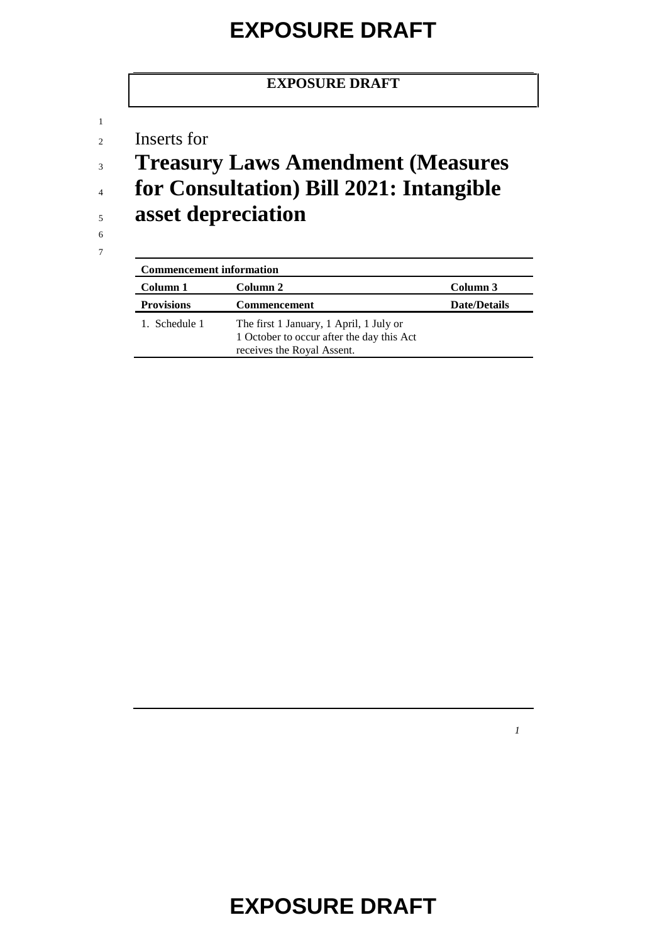#### **EXPOSURE DRAFT**

<sup>2</sup> Inserts for

<sup>3</sup> **Treasury Laws Amendment (Measures**  <sup>4</sup> **for Consultation) Bill 2021: Intangible** 

<sup>5</sup> **asset depreciation**

6 7

1

| <b>Commencement information</b> |                                                                                                                    |                     |  |  |
|---------------------------------|--------------------------------------------------------------------------------------------------------------------|---------------------|--|--|
| Column 1                        | Column 2                                                                                                           | Column 3            |  |  |
| <b>Provisions</b>               | <b>Commencement</b>                                                                                                | <b>Date/Details</b> |  |  |
| 1. Schedule 1                   | The first 1 January, 1 April, 1 July or<br>1 October to occur after the day this Act<br>receives the Royal Assent. |                     |  |  |

*1*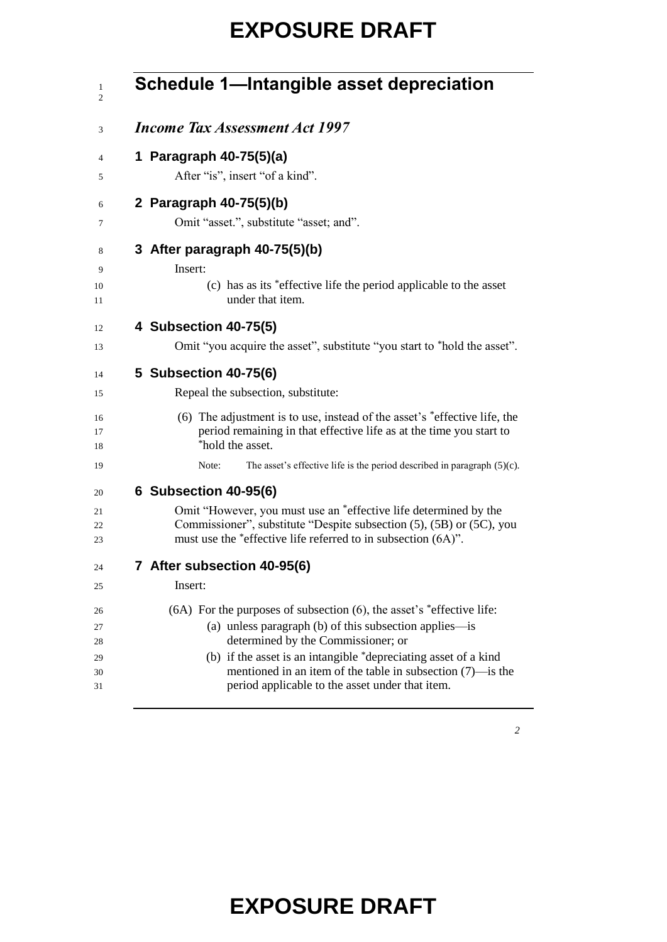| Schedule 1-Intangible asset depreciation                                                                                                                                                                  |
|-----------------------------------------------------------------------------------------------------------------------------------------------------------------------------------------------------------|
| <b>Income Tax Assessment Act 1997</b>                                                                                                                                                                     |
| 1 Paragraph 40-75(5)(a)<br>After "is", insert "of a kind".                                                                                                                                                |
| 2 Paragraph 40-75(5)(b)<br>Omit "asset.", substitute "asset; and".                                                                                                                                        |
| 3 After paragraph 40-75(5)(b)<br>Insert:                                                                                                                                                                  |
| (c) has as its *effective life the period applicable to the asset<br>under that item.                                                                                                                     |
| 4 Subsection 40-75(5)                                                                                                                                                                                     |
| Omit "you acquire the asset", substitute "you start to "hold the asset".                                                                                                                                  |
| 5 Subsection 40-75(6)                                                                                                                                                                                     |
| Repeal the subsection, substitute:                                                                                                                                                                        |
| (6) The adjustment is to use, instead of the asset's *effective life, the<br>period remaining in that effective life as at the time you start to<br>*hold the asset.                                      |
| The asset's effective life is the period described in paragraph $(5)(c)$ .<br>Note:                                                                                                                       |
| 6 Subsection 40-95(6)                                                                                                                                                                                     |
| Omit "However, you must use an "effective life determined by the<br>Commissioner", substitute "Despite subsection (5), (5B) or (5C), you<br>must use the *effective life referred to in subsection (6A)". |
| 7 After subsection 40-95(6)                                                                                                                                                                               |
| Insert:                                                                                                                                                                                                   |
| $(6A)$ For the purposes of subsection $(6)$ , the asset's *effective life:<br>(a) unless paragraph (b) of this subsection applies-is<br>determined by the Commissioner; or                                |
| (b) if the asset is an intangible *depreciating asset of a kind<br>mentioned in an item of the table in subsection $(7)$ —is the<br>period applicable to the asset under that item.                       |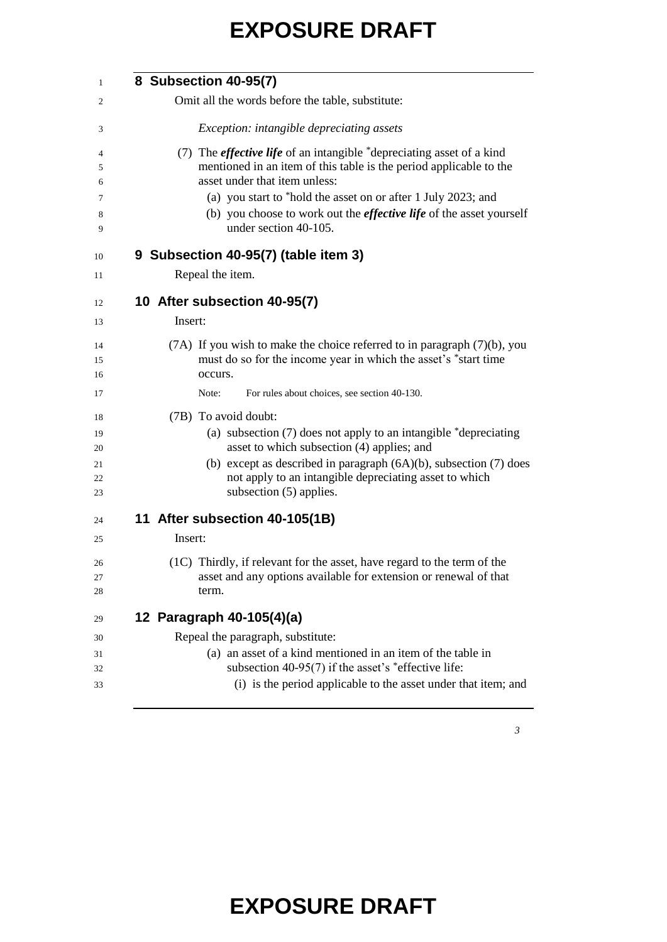| 8 Subsection 40-95(7)                                                                                                                                                                                                                                                           |
|---------------------------------------------------------------------------------------------------------------------------------------------------------------------------------------------------------------------------------------------------------------------------------|
| Omit all the words before the table, substitute:                                                                                                                                                                                                                                |
|                                                                                                                                                                                                                                                                                 |
| <i>Exception: intangible depreciating assets</i>                                                                                                                                                                                                                                |
| (7) The <i>effective life</i> of an intangible *depreciating asset of a kind<br>mentioned in an item of this table is the period applicable to the<br>asset under that item unless:                                                                                             |
| (a) you start to *hold the asset on or after 1 July 2023; and<br>(b) you choose to work out the <i>effective life</i> of the asset yourself<br>under section 40-105.                                                                                                            |
| 9 Subsection 40-95(7) (table item 3)                                                                                                                                                                                                                                            |
| Repeal the item.                                                                                                                                                                                                                                                                |
| 10 After subsection 40-95(7)                                                                                                                                                                                                                                                    |
| Insert:                                                                                                                                                                                                                                                                         |
| $(7A)$ If you wish to make the choice referred to in paragraph $(7)(b)$ , you<br>must do so for the income year in which the asset's *start time<br>occurs.                                                                                                                     |
| For rules about choices, see section 40-130.<br>Note:                                                                                                                                                                                                                           |
| (7B) To avoid doubt:<br>(a) subsection $(7)$ does not apply to an intangible $*$ depreciating<br>asset to which subsection (4) applies; and<br>(b) except as described in paragraph $(6A)(b)$ , subsection $(7)$ does<br>not apply to an intangible depreciating asset to which |
| subsection (5) applies.                                                                                                                                                                                                                                                         |
| 11 After subsection 40-105(1B)                                                                                                                                                                                                                                                  |
| Insert:                                                                                                                                                                                                                                                                         |
| (1C) Thirdly, if relevant for the asset, have regard to the term of the<br>asset and any options available for extension or renewal of that                                                                                                                                     |
| term.                                                                                                                                                                                                                                                                           |
| 12 Paragraph 40-105(4)(a)                                                                                                                                                                                                                                                       |
| Repeal the paragraph, substitute:                                                                                                                                                                                                                                               |
| (a) an asset of a kind mentioned in an item of the table in                                                                                                                                                                                                                     |
| subsection 40-95(7) if the asset's $*$ effective life:                                                                                                                                                                                                                          |
| (i) is the period applicable to the asset under that item; and                                                                                                                                                                                                                  |